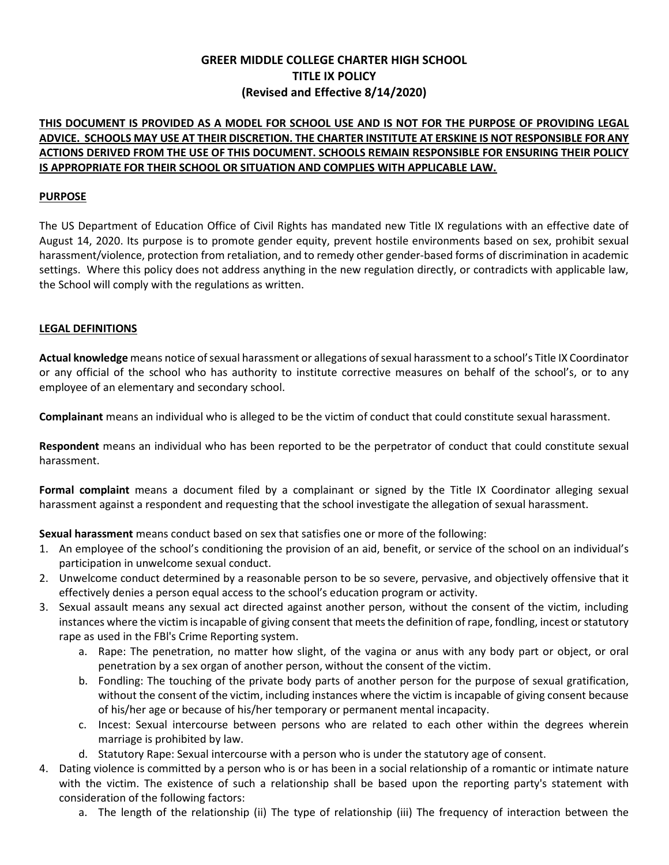# GREER MIDDLE COLLEGE CHARTER HIGH SCHOOL TITLE IX POLICY (Revised and Effective 8/14/2020)

# THIS DOCUMENT IS PROVIDED AS A MODEL FOR SCHOOL USE AND IS NOT FOR THE PURPOSE OF PROVIDING LEGAL ADVICE. SCHOOLS MAY USE AT THEIR DISCRETION. THE CHARTER INSTITUTE AT ERSKINE IS NOT RESPONSIBLE FOR ANY ACTIONS DERIVED FROM THE USE OF THIS DOCUMENT. SCHOOLS REMAIN RESPONSIBLE FOR ENSURING THEIR POLICY IS APPROPRIATE FOR THEIR SCHOOL OR SITUATION AND COMPLIES WITH APPLICABLE LAW.

### PURPOSE

The US Department of Education Office of Civil Rights has mandated new Title IX regulations with an effective date of August 14, 2020. Its purpose is to promote gender equity, prevent hostile environments based on sex, prohibit sexual harassment/violence, protection from retaliation, and to remedy other gender-based forms of discrimination in academic settings. Where this policy does not address anything in the new regulation directly, or contradicts with applicable law, the School will comply with the regulations as written.

## LEGAL DEFINITIONS

Actual knowledge means notice of sexual harassment or allegations of sexual harassment to a school's Title IX Coordinator or any official of the school who has authority to institute corrective measures on behalf of the school's, or to any employee of an elementary and secondary school.

Complainant means an individual who is alleged to be the victim of conduct that could constitute sexual harassment.

Respondent means an individual who has been reported to be the perpetrator of conduct that could constitute sexual harassment.

Formal complaint means a document filed by a complainant or signed by the Title IX Coordinator alleging sexual harassment against a respondent and requesting that the school investigate the allegation of sexual harassment.

Sexual harassment means conduct based on sex that satisfies one or more of the following:

- 1. An employee of the school's conditioning the provision of an aid, benefit, or service of the school on an individual's participation in unwelcome sexual conduct.
- 2. Unwelcome conduct determined by a reasonable person to be so severe, pervasive, and objectively offensive that it effectively denies a person equal access to the school's education program or activity.
- 3. Sexual assault means any sexual act directed against another person, without the consent of the victim, including instances where the victim is incapable of giving consent that meets the definition of rape, fondling, incest or statutory rape as used in the FBl's Crime Reporting system.
	- a. Rape: The penetration, no matter how slight, of the vagina or anus with any body part or object, or oral penetration by a sex organ of another person, without the consent of the victim.
	- b. Fondling: The touching of the private body parts of another person for the purpose of sexual gratification, without the consent of the victim, including instances where the victim is incapable of giving consent because of his/her age or because of his/her temporary or permanent mental incapacity.
	- c. Incest: Sexual intercourse between persons who are related to each other within the degrees wherein marriage is prohibited by law.
	- d. Statutory Rape: Sexual intercourse with a person who is under the statutory age of consent.
- 4. Dating violence is committed by a person who is or has been in a social relationship of a romantic or intimate nature with the victim. The existence of such a relationship shall be based upon the reporting party's statement with consideration of the following factors:
	- a. The length of the relationship (ii) The type of relationship (iii) The frequency of interaction between the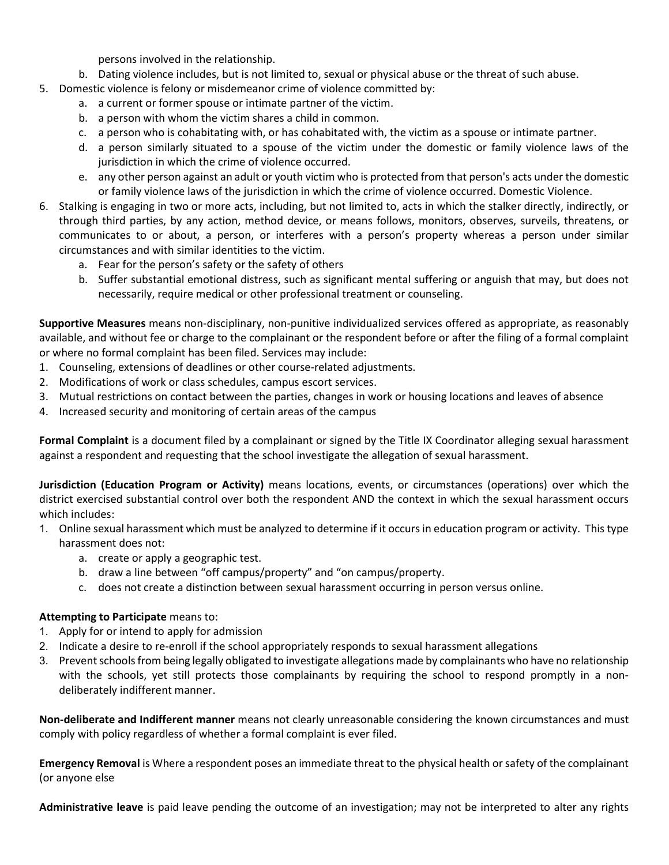persons involved in the relationship.

- b. Dating violence includes, but is not limited to, sexual or physical abuse or the threat of such abuse.
- 5. Domestic violence is felony or misdemeanor crime of violence committed by:
	- a. a current or former spouse or intimate partner of the victim.
	- b. a person with whom the victim shares a child in common.
	- c. a person who is cohabitating with, or has cohabitated with, the victim as a spouse or intimate partner.
	- d. a person similarly situated to a spouse of the victim under the domestic or family violence laws of the jurisdiction in which the crime of violence occurred.
	- e. any other person against an adult or youth victim who is protected from that person's acts under the domestic or family violence laws of the jurisdiction in which the crime of violence occurred. Domestic Violence.
- 6. Stalking is engaging in two or more acts, including, but not limited to, acts in which the stalker directly, indirectly, or through third parties, by any action, method device, or means follows, monitors, observes, surveils, threatens, or communicates to or about, a person, or interferes with a person's property whereas a person under similar circumstances and with similar identities to the victim.
	- a. Fear for the person's safety or the safety of others
	- b. Suffer substantial emotional distress, such as significant mental suffering or anguish that may, but does not necessarily, require medical or other professional treatment or counseling.

Supportive Measures means non-disciplinary, non-punitive individualized services offered as appropriate, as reasonably available, and without fee or charge to the complainant or the respondent before or after the filing of a formal complaint or where no formal complaint has been filed. Services may include:

- 1. Counseling, extensions of deadlines or other course-related adjustments.
- 2. Modifications of work or class schedules, campus escort services.
- 3. Mutual restrictions on contact between the parties, changes in work or housing locations and leaves of absence
- 4. Increased security and monitoring of certain areas of the campus

Formal Complaint is a document filed by a complainant or signed by the Title IX Coordinator alleging sexual harassment against a respondent and requesting that the school investigate the allegation of sexual harassment.

Jurisdiction (Education Program or Activity) means locations, events, or circumstances (operations) over which the district exercised substantial control over both the respondent AND the context in which the sexual harassment occurs which includes:

- 1. Online sexual harassment which must be analyzed to determine if it occurs in education program or activity. This type harassment does not:
	- a. create or apply a geographic test.
	- b. draw a line between "off campus/property" and "on campus/property.
	- c. does not create a distinction between sexual harassment occurring in person versus online.

# Attempting to Participate means to:

- 1. Apply for or intend to apply for admission
- 2. Indicate a desire to re-enroll if the school appropriately responds to sexual harassment allegations
- 3. Prevent schools from being legally obligated to investigate allegations made by complainants who have no relationship with the schools, yet still protects those complainants by requiring the school to respond promptly in a nondeliberately indifferent manner.

Non-deliberate and Indifferent manner means not clearly unreasonable considering the known circumstances and must comply with policy regardless of whether a formal complaint is ever filed.

**Emergency Removal** is Where a respondent poses an immediate threat to the physical health or safety of the complainant (or anyone else

Administrative leave is paid leave pending the outcome of an investigation; may not be interpreted to alter any rights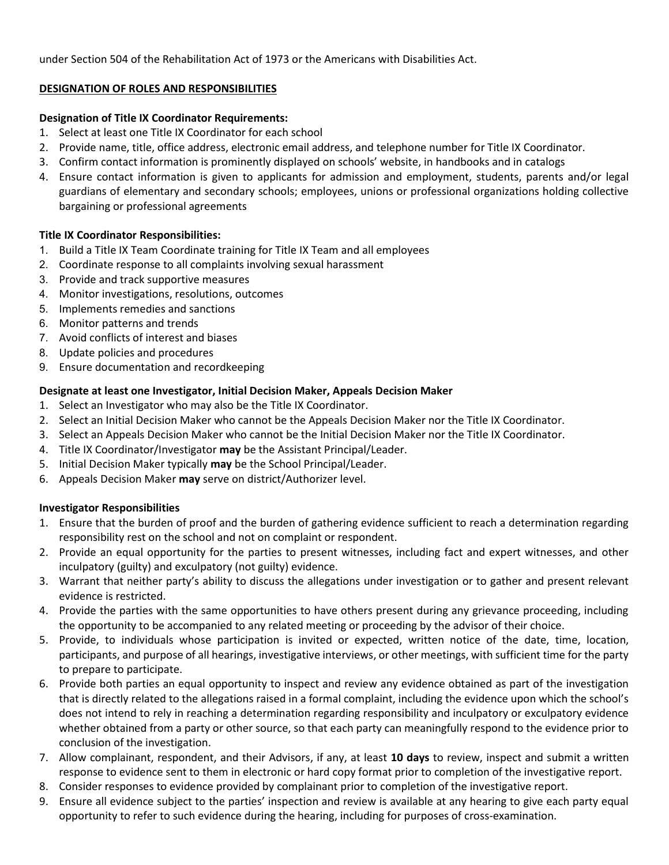under Section 504 of the Rehabilitation Act of 1973 or the Americans with Disabilities Act.

## DESIGNATION OF ROLES AND RESPONSIBILITIES

## Designation of Title IX Coordinator Requirements:

- 1. Select at least one Title IX Coordinator for each school
- 2. Provide name, title, office address, electronic email address, and telephone number for Title IX Coordinator.
- 3. Confirm contact information is prominently displayed on schools' website, in handbooks and in catalogs
- 4. Ensure contact information is given to applicants for admission and employment, students, parents and/or legal guardians of elementary and secondary schools; employees, unions or professional organizations holding collective bargaining or professional agreements

## Title IX Coordinator Responsibilities:

- 1. Build a Title IX Team Coordinate training for Title IX Team and all employees
- 2. Coordinate response to all complaints involving sexual harassment
- 3. Provide and track supportive measures
- 4. Monitor investigations, resolutions, outcomes
- 5. Implements remedies and sanctions
- 6. Monitor patterns and trends
- 7. Avoid conflicts of interest and biases
- 8. Update policies and procedures
- 9. Ensure documentation and recordkeeping

## Designate at least one Investigator, Initial Decision Maker, Appeals Decision Maker

- 1. Select an Investigator who may also be the Title IX Coordinator.
- 2. Select an Initial Decision Maker who cannot be the Appeals Decision Maker nor the Title IX Coordinator.
- 3. Select an Appeals Decision Maker who cannot be the Initial Decision Maker nor the Title IX Coordinator.
- 4. Title IX Coordinator/Investigator may be the Assistant Principal/Leader.
- 5. Initial Decision Maker typically may be the School Principal/Leader.
- 6. Appeals Decision Maker may serve on district/Authorizer level.

#### Investigator Responsibilities

- 1. Ensure that the burden of proof and the burden of gathering evidence sufficient to reach a determination regarding responsibility rest on the school and not on complaint or respondent.
- 2. Provide an equal opportunity for the parties to present witnesses, including fact and expert witnesses, and other inculpatory (guilty) and exculpatory (not guilty) evidence.
- 3. Warrant that neither party's ability to discuss the allegations under investigation or to gather and present relevant evidence is restricted.
- 4. Provide the parties with the same opportunities to have others present during any grievance proceeding, including the opportunity to be accompanied to any related meeting or proceeding by the advisor of their choice.
- 5. Provide, to individuals whose participation is invited or expected, written notice of the date, time, location, participants, and purpose of all hearings, investigative interviews, or other meetings, with sufficient time for the party to prepare to participate.
- 6. Provide both parties an equal opportunity to inspect and review any evidence obtained as part of the investigation that is directly related to the allegations raised in a formal complaint, including the evidence upon which the school's does not intend to rely in reaching a determination regarding responsibility and inculpatory or exculpatory evidence whether obtained from a party or other source, so that each party can meaningfully respond to the evidence prior to conclusion of the investigation.
- 7. Allow complainant, respondent, and their Advisors, if any, at least 10 days to review, inspect and submit a written response to evidence sent to them in electronic or hard copy format prior to completion of the investigative report.
- 8. Consider responses to evidence provided by complainant prior to completion of the investigative report.
- 9. Ensure all evidence subject to the parties' inspection and review is available at any hearing to give each party equal opportunity to refer to such evidence during the hearing, including for purposes of cross-examination.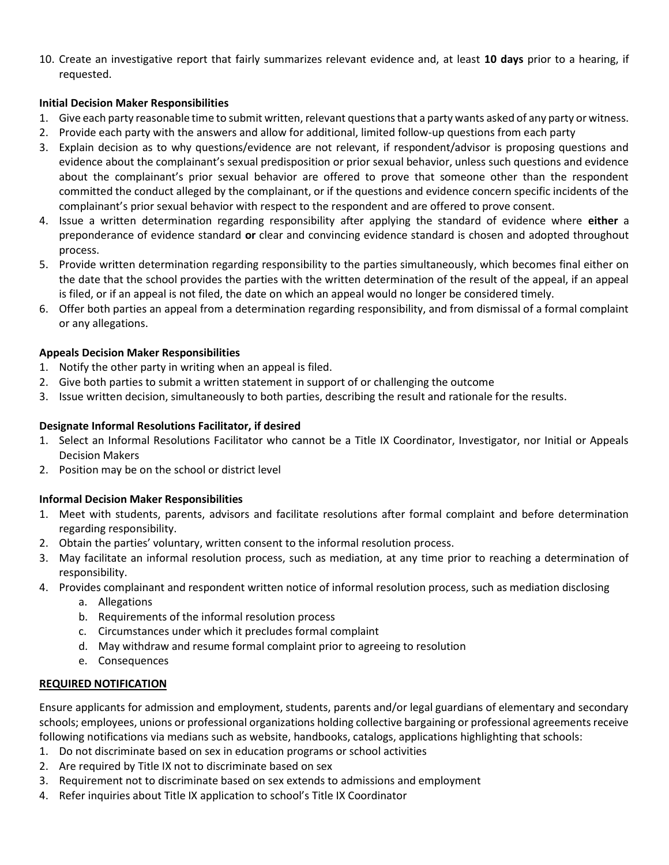10. Create an investigative report that fairly summarizes relevant evidence and, at least 10 days prior to a hearing, if requested.

## Initial Decision Maker Responsibilities

- 1. Give each party reasonable time to submit written, relevant questions that a party wants asked of any party or witness.
- 2. Provide each party with the answers and allow for additional, limited follow-up questions from each party
- 3. Explain decision as to why questions/evidence are not relevant, if respondent/advisor is proposing questions and evidence about the complainant's sexual predisposition or prior sexual behavior, unless such questions and evidence about the complainant's prior sexual behavior are offered to prove that someone other than the respondent committed the conduct alleged by the complainant, or if the questions and evidence concern specific incidents of the complainant's prior sexual behavior with respect to the respondent and are offered to prove consent.
- 4. Issue a written determination regarding responsibility after applying the standard of evidence where either a preponderance of evidence standard or clear and convincing evidence standard is chosen and adopted throughout process.
- 5. Provide written determination regarding responsibility to the parties simultaneously, which becomes final either on the date that the school provides the parties with the written determination of the result of the appeal, if an appeal is filed, or if an appeal is not filed, the date on which an appeal would no longer be considered timely.
- 6. Offer both parties an appeal from a determination regarding responsibility, and from dismissal of a formal complaint or any allegations.

# Appeals Decision Maker Responsibilities

- 1. Notify the other party in writing when an appeal is filed.
- 2. Give both parties to submit a written statement in support of or challenging the outcome
- 3. Issue written decision, simultaneously to both parties, describing the result and rationale for the results.

## Designate Informal Resolutions Facilitator, if desired

- 1. Select an Informal Resolutions Facilitator who cannot be a Title IX Coordinator, Investigator, nor Initial or Appeals Decision Makers
- 2. Position may be on the school or district level

# Informal Decision Maker Responsibilities

- 1. Meet with students, parents, advisors and facilitate resolutions after formal complaint and before determination regarding responsibility.
- 2. Obtain the parties' voluntary, written consent to the informal resolution process.
- 3. May facilitate an informal resolution process, such as mediation, at any time prior to reaching a determination of responsibility.
- 4. Provides complainant and respondent written notice of informal resolution process, such as mediation disclosing
	- a. Allegations
	- b. Requirements of the informal resolution process
	- c. Circumstances under which it precludes formal complaint
	- d. May withdraw and resume formal complaint prior to agreeing to resolution
	- e. Consequences

#### REQUIRED NOTIFICATION

Ensure applicants for admission and employment, students, parents and/or legal guardians of elementary and secondary schools; employees, unions or professional organizations holding collective bargaining or professional agreements receive following notifications via medians such as website, handbooks, catalogs, applications highlighting that schools:

- 1. Do not discriminate based on sex in education programs or school activities
- 2. Are required by Title IX not to discriminate based on sex
- 3. Requirement not to discriminate based on sex extends to admissions and employment
- 4. Refer inquiries about Title IX application to school's Title IX Coordinator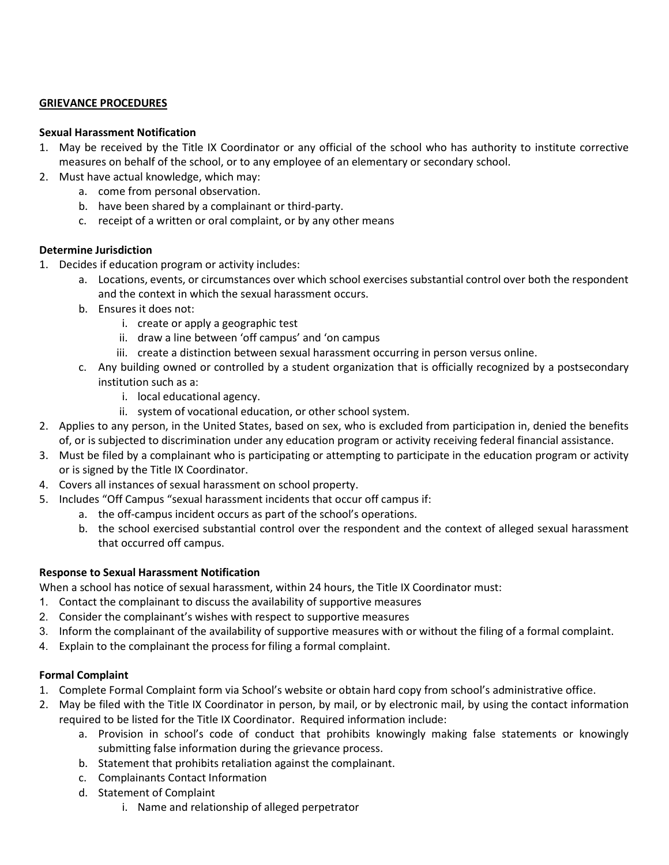#### GRIEVANCE PROCEDURES

#### Sexual Harassment Notification

- 1. May be received by the Title IX Coordinator or any official of the school who has authority to institute corrective measures on behalf of the school, or to any employee of an elementary or secondary school.
- 2. Must have actual knowledge, which may:
	- a. come from personal observation.
	- b. have been shared by a complainant or third-party.
	- c. receipt of a written or oral complaint, or by any other means

#### Determine Jurisdiction

- 1. Decides if education program or activity includes:
	- a. Locations, events, or circumstances over which school exercises substantial control over both the respondent and the context in which the sexual harassment occurs.
	- b. Ensures it does not:
		- i. create or apply a geographic test
		- ii. draw a line between 'off campus' and 'on campus
		- iii. create a distinction between sexual harassment occurring in person versus online.
	- c. Any building owned or controlled by a student organization that is officially recognized by a postsecondary institution such as a:
		- i. local educational agency.
		- ii. system of vocational education, or other school system.
- 2. Applies to any person, in the United States, based on sex, who is excluded from participation in, denied the benefits of, or is subjected to discrimination under any education program or activity receiving federal financial assistance.
- 3. Must be filed by a complainant who is participating or attempting to participate in the education program or activity or is signed by the Title IX Coordinator.
- 4. Covers all instances of sexual harassment on school property.
- 5. Includes "Off Campus "sexual harassment incidents that occur off campus if:
	- a. the off-campus incident occurs as part of the school's operations.
	- b. the school exercised substantial control over the respondent and the context of alleged sexual harassment that occurred off campus.

#### Response to Sexual Harassment Notification

When a school has notice of sexual harassment, within 24 hours, the Title IX Coordinator must:

- 1. Contact the complainant to discuss the availability of supportive measures
- 2. Consider the complainant's wishes with respect to supportive measures
- 3. Inform the complainant of the availability of supportive measures with or without the filing of a formal complaint.
- 4. Explain to the complainant the process for filing a formal complaint.

#### Formal Complaint

- 1. Complete Formal Complaint form via School's website or obtain hard copy from school's administrative office.
- 2. May be filed with the Title IX Coordinator in person, by mail, or by electronic mail, by using the contact information required to be listed for the Title IX Coordinator. Required information include:
	- a. Provision in school's code of conduct that prohibits knowingly making false statements or knowingly submitting false information during the grievance process.
	- b. Statement that prohibits retaliation against the complainant.
	- c. Complainants Contact Information
	- d. Statement of Complaint
		- i. Name and relationship of alleged perpetrator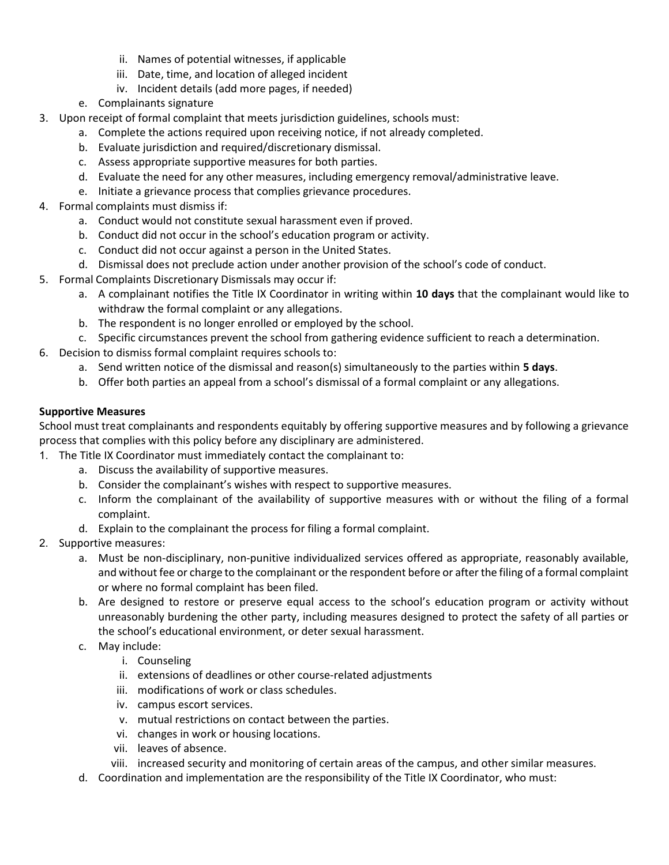- ii. Names of potential witnesses, if applicable
- iii. Date, time, and location of alleged incident
- iv. Incident details (add more pages, if needed)
- e. Complainants signature
- 3. Upon receipt of formal complaint that meets jurisdiction guidelines, schools must:
	- a. Complete the actions required upon receiving notice, if not already completed.
	- b. Evaluate jurisdiction and required/discretionary dismissal.
	- c. Assess appropriate supportive measures for both parties.
	- d. Evaluate the need for any other measures, including emergency removal/administrative leave.
	- e. Initiate a grievance process that complies grievance procedures.
- 4. Formal complaints must dismiss if:
	- a. Conduct would not constitute sexual harassment even if proved.
	- b. Conduct did not occur in the school's education program or activity.
	- c. Conduct did not occur against a person in the United States.
	- d. Dismissal does not preclude action under another provision of the school's code of conduct.
- 5. Formal Complaints Discretionary Dismissals may occur if:
	- a. A complainant notifies the Title IX Coordinator in writing within 10 days that the complainant would like to withdraw the formal complaint or any allegations.
	- b. The respondent is no longer enrolled or employed by the school.
	- c. Specific circumstances prevent the school from gathering evidence sufficient to reach a determination.
- 6. Decision to dismiss formal complaint requires schools to:
	- a. Send written notice of the dismissal and reason(s) simultaneously to the parties within 5 days.
	- b. Offer both parties an appeal from a school's dismissal of a formal complaint or any allegations.

# Supportive Measures

School must treat complainants and respondents equitably by offering supportive measures and by following a grievance process that complies with this policy before any disciplinary are administered.

- 1. The Title IX Coordinator must immediately contact the complainant to:
	- a. Discuss the availability of supportive measures.
	- b. Consider the complainant's wishes with respect to supportive measures.
	- c. Inform the complainant of the availability of supportive measures with or without the filing of a formal complaint.
	- d. Explain to the complainant the process for filing a formal complaint.
- 2. Supportive measures:
	- a. Must be non-disciplinary, non-punitive individualized services offered as appropriate, reasonably available, and without fee or charge to the complainant or the respondent before or after the filing of a formal complaint or where no formal complaint has been filed.
	- b. Are designed to restore or preserve equal access to the school's education program or activity without unreasonably burdening the other party, including measures designed to protect the safety of all parties or the school's educational environment, or deter sexual harassment.
	- c. May include:
		- i. Counseling
		- ii. extensions of deadlines or other course-related adjustments
		- iii. modifications of work or class schedules.
		- iv. campus escort services.
		- v. mutual restrictions on contact between the parties.
		- vi. changes in work or housing locations.
		- vii. leaves of absence.
		- viii. increased security and monitoring of certain areas of the campus, and other similar measures.
	- d. Coordination and implementation are the responsibility of the Title IX Coordinator, who must: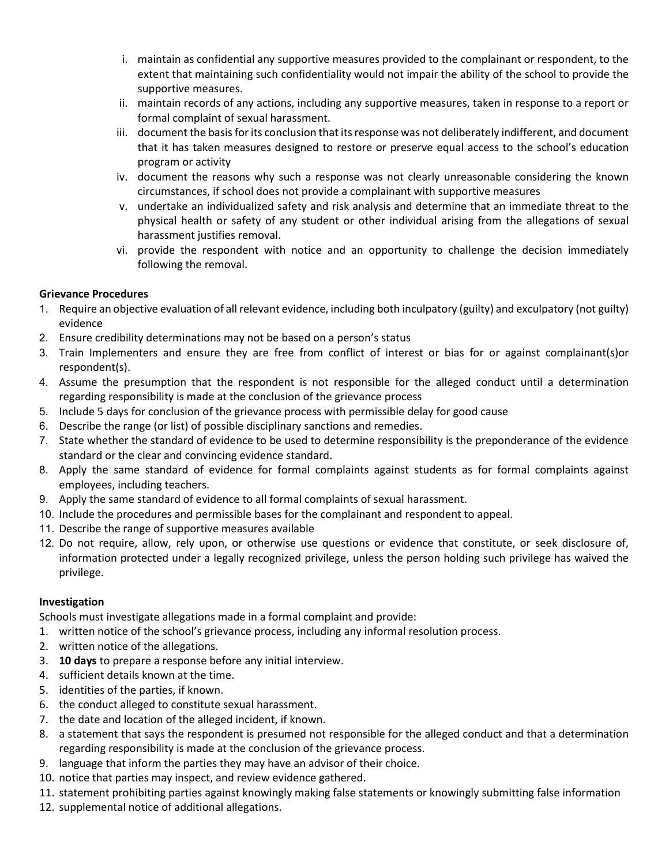- i. maintain as confidential any supportive measures provided to the complainant or respondent, to the extent that maintaining such confidentiality would not impair the ability of the school to provide the supportive measures.
- ii. maintain records of any actions, including any supportive measures, taken in response to a report or formal complaint of sexual harassment.
- iii. document the basis for its conclusion that its response was not deliberately indifferent, and document that it has taken measures designed to restore or preserve equal access to the school's education program or activity
- iv. document the reasons why such a response was not clearly unreasonable considering the known circumstances, if school does not provide a complainant with supportive measures
- v. undertake an individualized safety and risk analysis and determine that an immediate threat to the physical health or safety of any student or other individual arising from the allegations of sexual harassment justifies removal.
- vi. provide the respondent with notice and an opportunity to challenge the decision immediately following the removal.

# Grievance Procedures

- 1. Require an objective evaluation of all relevant evidence, including both inculpatory (guilty) and exculpatory (not guilty) evidence
- 2. Ensure credibility determinations may not be based on a person's status
- 3. Train Implementers and ensure they are free from conflict of interest or bias for or against complainant(s)or respondent(s).
- 4. Assume the presumption that the respondent is not responsible for the alleged conduct until a determination regarding responsibility is made at the conclusion of the grievance process
- 5. Include 5 days for conclusion of the grievance process with permissible delay for good cause
- 6. Describe the range (or list) of possible disciplinary sanctions and remedies.
- 7. State whether the standard of evidence to be used to determine responsibility is the preponderance of the evidence standard or the clear and convincing evidence standard.
- 8. Apply the same standard of evidence for formal complaints against students as for formal complaints against employees, including teachers.
- 9. Apply the same standard of evidence to all formal complaints of sexual harassment.
- 10. Include the procedures and permissible bases for the complainant and respondent to appeal.
- 11. Describe the range of supportive measures available
- 12. Do not require, allow, rely upon, or otherwise use questions or evidence that constitute, or seek disclosure of, information protected under a legally recognized privilege, unless the person holding such privilege has waived the privilege.

# Investigation

Schools must investigate allegations made in a formal complaint and provide:

- 1. written notice of the school's grievance process, including any informal resolution process.
- 2. written notice of the allegations.
- 3. 10 days to prepare a response before any initial interview.
- 4. sufficient details known at the time.
- 5. identities of the parties, if known.
- 6. the conduct alleged to constitute sexual harassment.
- 7. the date and location of the alleged incident, if known.
- 8. a statement that says the respondent is presumed not responsible for the alleged conduct and that a determination regarding responsibility is made at the conclusion of the grievance process.
- 9. language that inform the parties they may have an advisor of their choice.
- 10. notice that parties may inspect, and review evidence gathered.
- 11. statement prohibiting parties against knowingly making false statements or knowingly submitting false information
- 12. supplemental notice of additional allegations.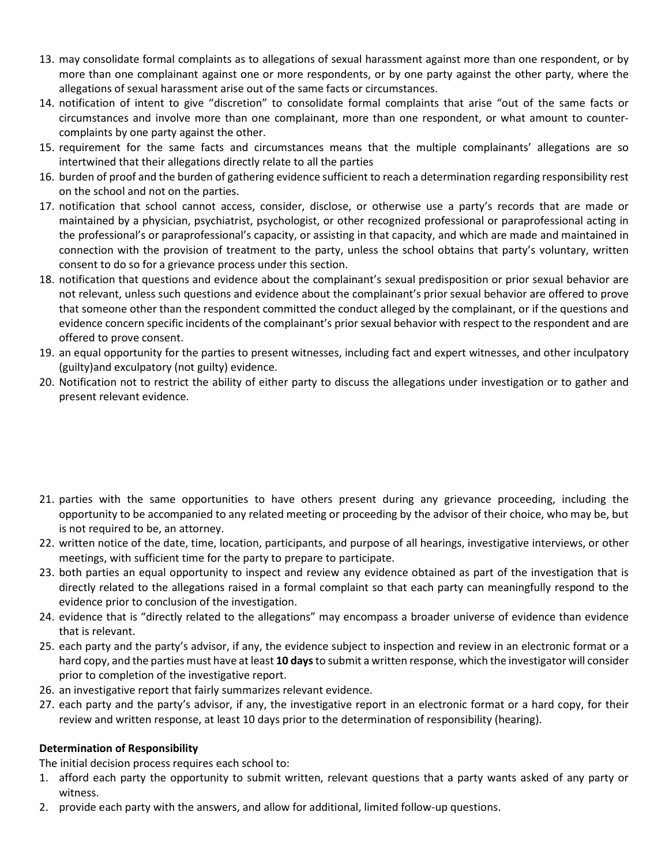- 13. may consolidate formal complaints as to allegations of sexual harassment against more than one respondent, or by more than one complainant against one or more respondents, or by one party against the other party, where the allegations of sexual harassment arise out of the same facts or circumstances.
- 14. notification of intent to give "discretion" to consolidate formal complaints that arise "out of the same facts or circumstances and involve more than one complainant, more than one respondent, or what amount to countercomplaints by one party against the other.
- 15. requirement for the same facts and circumstances means that the multiple complainants' allegations are so intertwined that their allegations directly relate to all the parties
- 16. burden of proof and the burden of gathering evidence sufficient to reach a determination regarding responsibility rest on the school and not on the parties.
- 17. notification that school cannot access, consider, disclose, or otherwise use a party's records that are made or maintained by a physician, psychiatrist, psychologist, or other recognized professional or paraprofessional acting in the professional's or paraprofessional's capacity, or assisting in that capacity, and which are made and maintained in connection with the provision of treatment to the party, unless the school obtains that party's voluntary, written consent to do so for a grievance process under this section.
- 18. notification that questions and evidence about the complainant's sexual predisposition or prior sexual behavior are not relevant, unless such questions and evidence about the complainant's prior sexual behavior are offered to prove that someone other than the respondent committed the conduct alleged by the complainant, or if the questions and evidence concern specific incidents of the complainant's prior sexual behavior with respect to the respondent and are offered to prove consent.
- 19. an equal opportunity for the parties to present witnesses, including fact and expert witnesses, and other inculpatory (guilty)and exculpatory (not guilty) evidence.
- 20. Notification not to restrict the ability of either party to discuss the allegations under investigation or to gather and present relevant evidence.

- 21. parties with the same opportunities to have others present during any grievance proceeding, including the opportunity to be accompanied to any related meeting or proceeding by the advisor of their choice, who may be, but is not required to be, an attorney.
- 22. written notice of the date, time, location, participants, and purpose of all hearings, investigative interviews, or other meetings, with sufficient time for the party to prepare to participate.
- 23. both parties an equal opportunity to inspect and review any evidence obtained as part of the investigation that is directly related to the allegations raised in a formal complaint so that each party can meaningfully respond to the evidence prior to conclusion of the investigation.
- 24. evidence that is "directly related to the allegations" may encompass a broader universe of evidence than evidence that is relevant.
- 25. each party and the party's advisor, if any, the evidence subject to inspection and review in an electronic format or a hard copy, and the parties must have at least 10 days to submit a written response, which the investigator will consider prior to completion of the investigative report.
- 26. an investigative report that fairly summarizes relevant evidence.
- 27. each party and the party's advisor, if any, the investigative report in an electronic format or a hard copy, for their review and written response, at least 10 days prior to the determination of responsibility (hearing).

# Determination of Responsibility

The initial decision process requires each school to:

- 1. afford each party the opportunity to submit written, relevant questions that a party wants asked of any party or witness.
- 2. provide each party with the answers, and allow for additional, limited follow-up questions.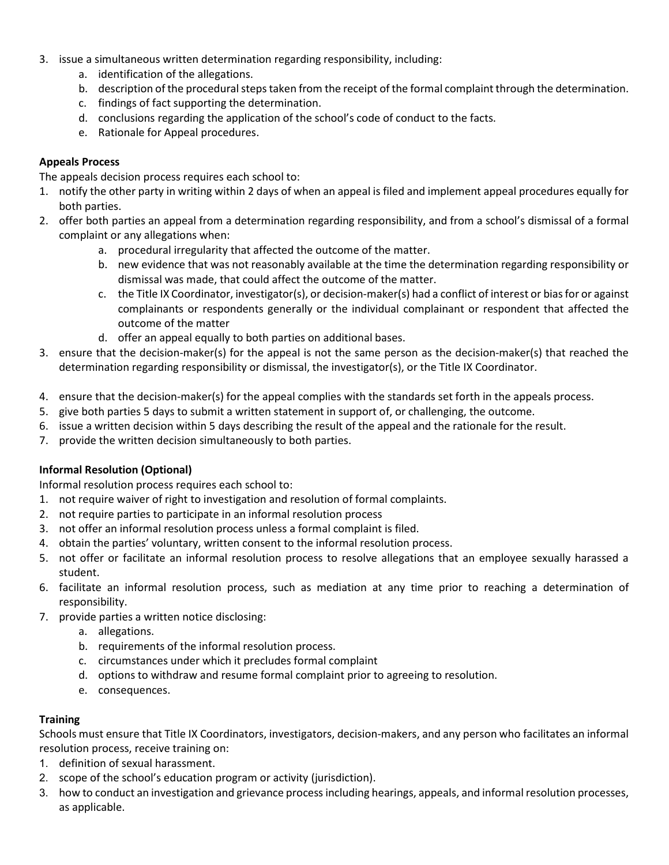- 3. issue a simultaneous written determination regarding responsibility, including:
	- a. identification of the allegations.
	- b. description of the procedural steps taken from the receipt of the formal complaint through the determination.
	- c. findings of fact supporting the determination.
	- d. conclusions regarding the application of the school's code of conduct to the facts.
	- e. Rationale for Appeal procedures.

## Appeals Process

The appeals decision process requires each school to:

- 1. notify the other party in writing within 2 days of when an appeal is filed and implement appeal procedures equally for both parties.
- 2. offer both parties an appeal from a determination regarding responsibility, and from a school's dismissal of a formal complaint or any allegations when:
	- a. procedural irregularity that affected the outcome of the matter.
	- b. new evidence that was not reasonably available at the time the determination regarding responsibility or dismissal was made, that could affect the outcome of the matter.
	- c. the Title IX Coordinator, investigator(s), or decision-maker(s) had a conflict of interest or bias for or against complainants or respondents generally or the individual complainant or respondent that affected the outcome of the matter
	- d. offer an appeal equally to both parties on additional bases.
- 3. ensure that the decision-maker(s) for the appeal is not the same person as the decision-maker(s) that reached the determination regarding responsibility or dismissal, the investigator(s), or the Title IX Coordinator.
- 4. ensure that the decision-maker(s) for the appeal complies with the standards set forth in the appeals process.
- 5. give both parties 5 days to submit a written statement in support of, or challenging, the outcome.
- 6. issue a written decision within 5 days describing the result of the appeal and the rationale for the result.
- 7. provide the written decision simultaneously to both parties.

# Informal Resolution (Optional)

Informal resolution process requires each school to:

- 1. not require waiver of right to investigation and resolution of formal complaints.
- 2. not require parties to participate in an informal resolution process
- 3. not offer an informal resolution process unless a formal complaint is filed.
- 4. obtain the parties' voluntary, written consent to the informal resolution process.
- 5. not offer or facilitate an informal resolution process to resolve allegations that an employee sexually harassed a student.
- 6. facilitate an informal resolution process, such as mediation at any time prior to reaching a determination of responsibility.
- 7. provide parties a written notice disclosing:
	- a. allegations.
	- b. requirements of the informal resolution process.
	- c. circumstances under which it precludes formal complaint
	- d. options to withdraw and resume formal complaint prior to agreeing to resolution.
	- e. consequences.

#### **Training**

Schools must ensure that Title IX Coordinators, investigators, decision-makers, and any person who facilitates an informal resolution process, receive training on:

- 1. definition of sexual harassment.
- 2. scope of the school's education program or activity (jurisdiction).
- 3. how to conduct an investigation and grievance process including hearings, appeals, and informal resolution processes, as applicable.